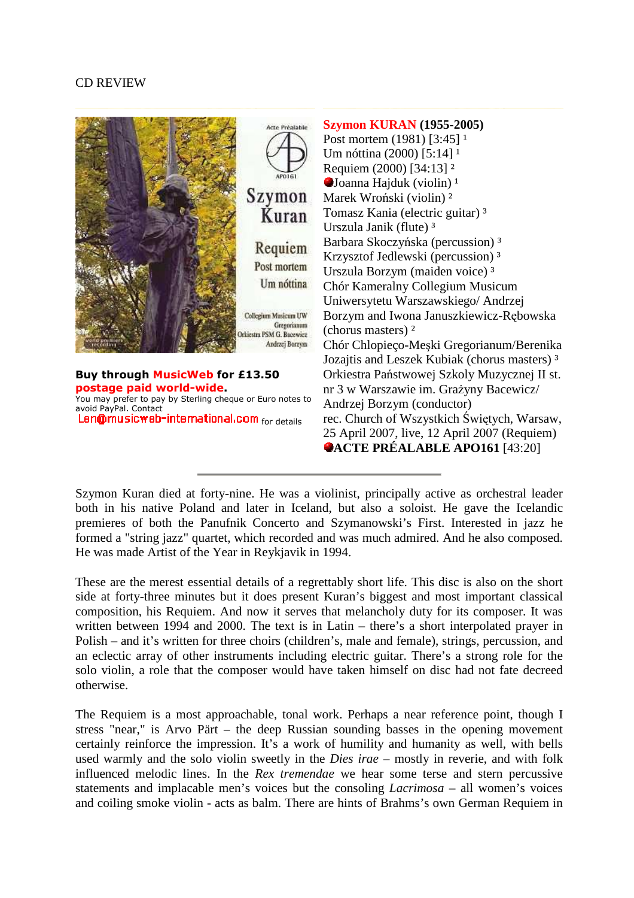## CD REVIEW



Szymon Kuran died at forty-nine. He was a violinist, principally active as orchestral leader both in his native Poland and later in Iceland, but also a soloist. He gave the Icelandic premieres of both the Panufnik Concerto and Szymanowski's First. Interested in jazz he formed a "string jazz" quartet, which recorded and was much admired. And he also composed. He was made Artist of the Year in Reykjavik in 1994.

These are the merest essential details of a regrettably short life. This disc is also on the short side at forty-three minutes but it does present Kuran's biggest and most important classical composition, his Requiem. And now it serves that melancholy duty for its composer. It was written between 1994 and 2000. The text is in Latin – there's a short interpolated prayer in Polish – and it's written for three choirs (children's, male and female), strings, percussion, and an eclectic array of other instruments including electric guitar. There's a strong role for the solo violin, a role that the composer would have taken himself on disc had not fate decreed otherwise.

The Requiem is a most approachable, tonal work. Perhaps a near reference point, though I stress "near," is Arvo Pärt – the deep Russian sounding basses in the opening movement certainly reinforce the impression. It's a work of humility and humanity as well, with bells used warmly and the solo violin sweetly in the *Dies irae* – mostly in reverie, and with folk influenced melodic lines. In the *Rex tremendae* we hear some terse and stern percussive statements and implacable men's voices but the consoling *Lacrimosa* – all women's voices and coiling smoke violin - acts as balm. There are hints of Brahms's own German Requiem in